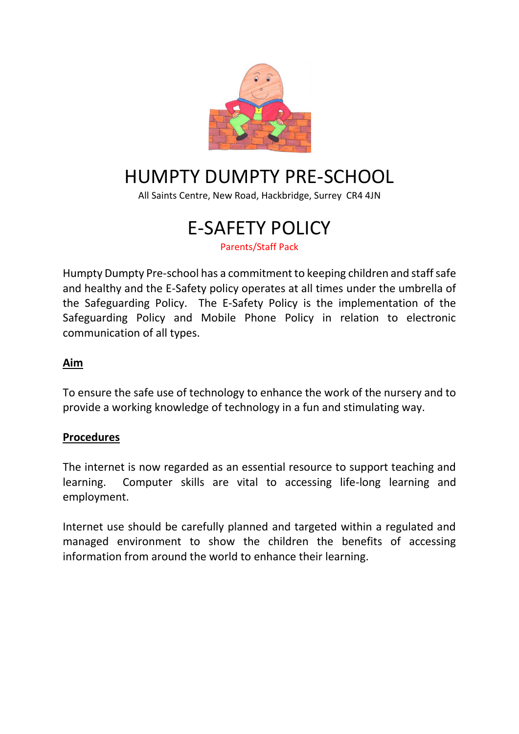

# HUMPTY DUMPTY PRE-SCHOOL

All Saints Centre, New Road, Hackbridge, Surrey CR4 4JN

# E-SAFETY POLICY

Parents/Staff Pack

Humpty Dumpty Pre-school has a commitment to keeping children and staff safe and healthy and the E-Safety policy operates at all times under the umbrella of the Safeguarding Policy. The E-Safety Policy is the implementation of the Safeguarding Policy and Mobile Phone Policy in relation to electronic communication of all types.

### **Aim**

To ensure the safe use of technology to enhance the work of the nursery and to provide a working knowledge of technology in a fun and stimulating way.

#### **Procedures**

The internet is now regarded as an essential resource to support teaching and learning. Computer skills are vital to accessing life-long learning and employment.

Internet use should be carefully planned and targeted within a regulated and managed environment to show the children the benefits of accessing information from around the world to enhance their learning.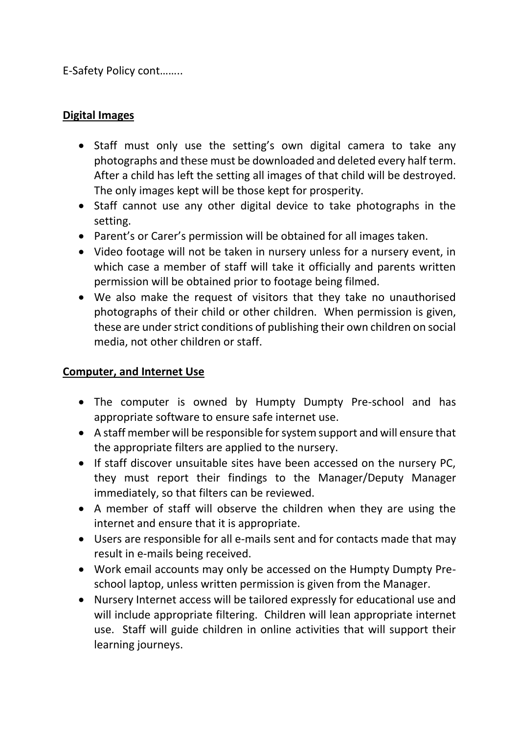E-Safety Policy cont……..

# **Digital Images**

- Staff must only use the setting's own digital camera to take any photographs and these must be downloaded and deleted every half term. After a child has left the setting all images of that child will be destroyed. The only images kept will be those kept for prosperity.
- Staff cannot use any other digital device to take photographs in the setting.
- Parent's or Carer's permission will be obtained for all images taken.
- Video footage will not be taken in nursery unless for a nursery event, in which case a member of staff will take it officially and parents written permission will be obtained prior to footage being filmed.
- We also make the request of visitors that they take no unauthorised photographs of their child or other children. When permission is given, these are under strict conditions of publishing their own children on social media, not other children or staff.

# **Computer, and Internet Use**

- The computer is owned by Humpty Dumpty Pre-school and has appropriate software to ensure safe internet use.
- A staff member will be responsible for system support and will ensure that the appropriate filters are applied to the nursery.
- If staff discover unsuitable sites have been accessed on the nursery PC. they must report their findings to the Manager/Deputy Manager immediately, so that filters can be reviewed.
- A member of staff will observe the children when they are using the internet and ensure that it is appropriate.
- Users are responsible for all e-mails sent and for contacts made that may result in e-mails being received.
- Work email accounts may only be accessed on the Humpty Dumpty Preschool laptop, unless written permission is given from the Manager.
- Nursery Internet access will be tailored expressly for educational use and will include appropriate filtering. Children will lean appropriate internet use. Staff will guide children in online activities that will support their learning journeys.